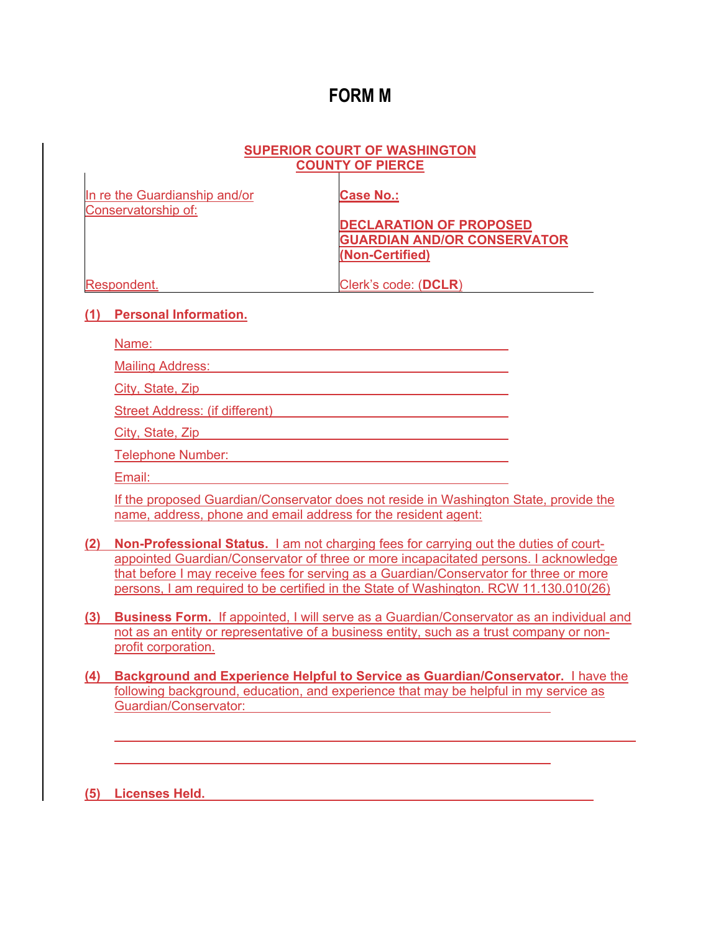# **FORM M**

#### **SUPERIOR COURT OF WASHINGTON COUNTY OF PIERCE**

In re the Guardianship and/or Conservatorship of:

**Case No.:** 

Clerk's code: (**DCLR**)

**DECLARATION OF PROPOSED GUARDIAN AND/OR CONSERVATOR (Non-Certified)** 

Respondent.

#### **(1) Personal Information.**

Name:

Mailing Address:

City, State, Zip

Street Address: (if different)

City, State, Zip

Telephone Number:

Email:

If the proposed Guardian/Conservator does not reside in Washington State, provide the name, address, phone and email address for the resident agent:

- **(2) Non-Professional Status.** I am not charging fees for carrying out the duties of courtappointed Guardian/Conservator of three or more incapacitated persons. I acknowledge that before I may receive fees for serving as a Guardian/Conservator for three or more persons, I am required to be certified in the State of Washington. RCW 11.130.010(26)
- **(3) Business Form.** If appointed, I will serve as a Guardian/Conservator as an individual and not as an entity or representative of a business entity, such as a trust company or nonprofit corporation.
- **(4) Background and Experience Helpful to Service as Guardian/Conservator.** I have the following background, education, and experience that may be helpful in my service as Guardian/Conservator:

**(5) Licenses Held.** 

 $\overline{a}$  $\overline{a}$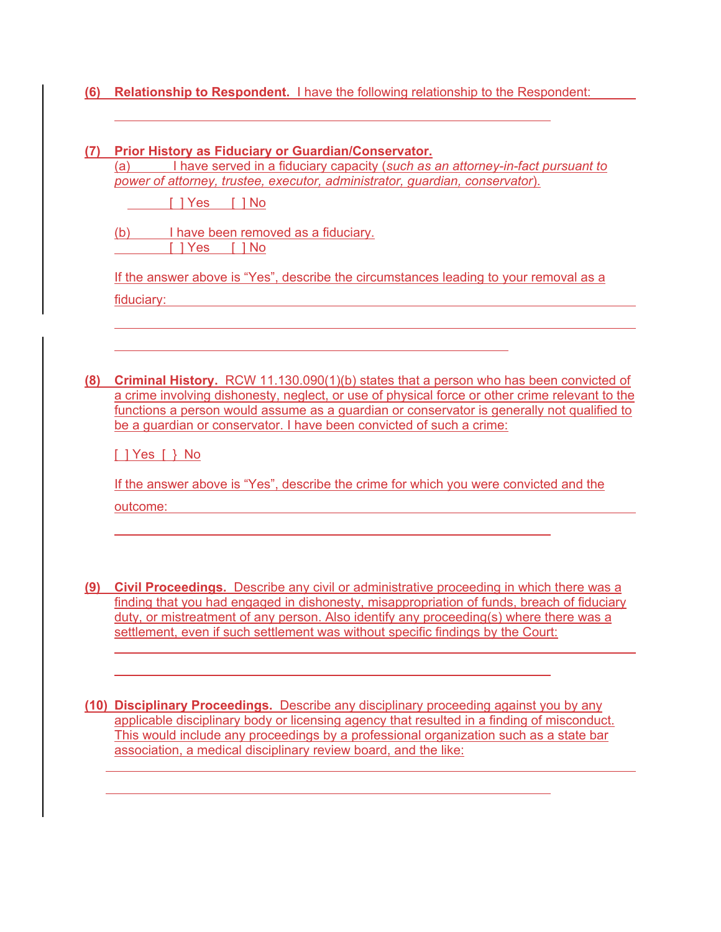|     | I have served in a fiduciary capacity (such as an attorney-in-fact pursuant to<br>(a)<br>power of attorney, trustee, executor, administrator, guardian, conservator).               |
|-----|-------------------------------------------------------------------------------------------------------------------------------------------------------------------------------------|
|     |                                                                                                                                                                                     |
|     | I have been removed as a fiduciary.<br>(b)<br>[ ] Yes [ ] No                                                                                                                        |
|     | If the answer above is "Yes", describe the circumstances leading to your removal as a                                                                                               |
|     | fiduciary:                                                                                                                                                                          |
|     |                                                                                                                                                                                     |
|     |                                                                                                                                                                                     |
| (8) | <b>Criminal History.</b> RCW 11.130.090(1)(b) states that a person who has been convicted of                                                                                        |
|     | a crime involving dishonesty, neglect, or use of physical force or other crime relevant to the                                                                                      |
|     |                                                                                                                                                                                     |
|     |                                                                                                                                                                                     |
|     | be a guardian or conservator. I have been convicted of such a crime:                                                                                                                |
|     |                                                                                                                                                                                     |
|     | functions a person would assume as a guardian or conservator is generally not qualified to                                                                                          |
|     | If the answer above is "Yes", describe the crime for which you were convicted and the                                                                                               |
|     | outcome:                                                                                                                                                                            |
|     |                                                                                                                                                                                     |
|     |                                                                                                                                                                                     |
|     |                                                                                                                                                                                     |
|     | <b>Civil Proceedings.</b> Describe any civil or administrative proceeding in which there was a                                                                                      |
|     | finding that you had engaged in dishonesty, misappropriation of funds, breach of fiduciary                                                                                          |
|     | duty, or mistreatment of any person. Also identify any proceeding(s) where there was a                                                                                              |
|     | settlement, even if such settlement was without specific findings by the Court:                                                                                                     |
|     |                                                                                                                                                                                     |
|     |                                                                                                                                                                                     |
|     | (10) Disciplinary Proceedings. Describe any disciplinary proceeding against you by any                                                                                              |
| (9) | applicable disciplinary body or licensing agency that resulted in a finding of misconduct.<br>This would include any proceedings by a professional organization such as a state bar |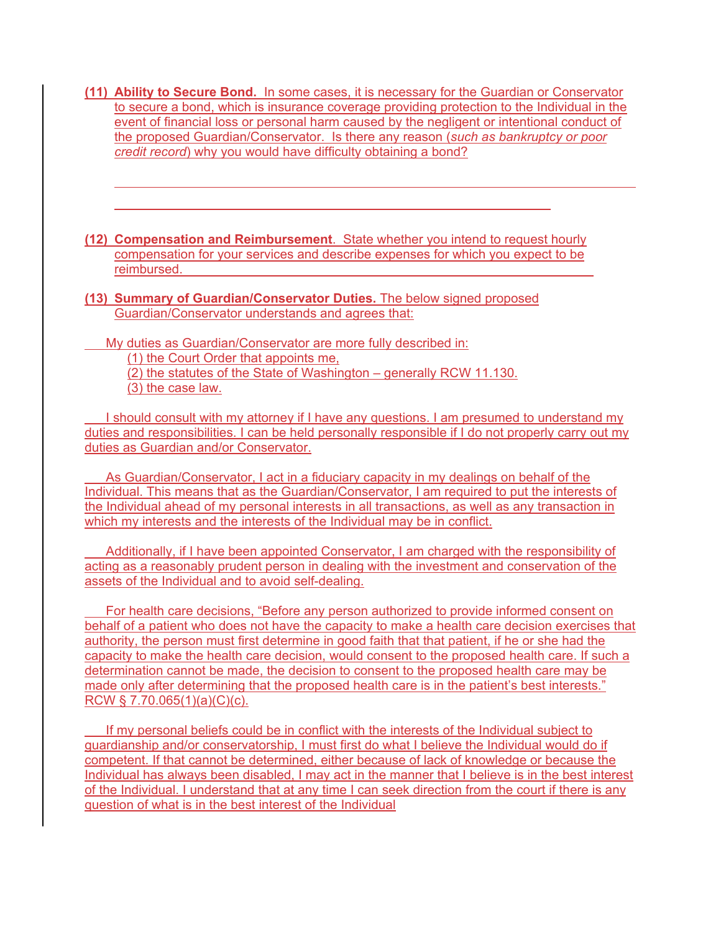**(11) Ability to Secure Bond.** In some cases, it is necessary for the Guardian or Conservator to secure a bond, which is insurance coverage providing protection to the Individual in the event of financial loss or personal harm caused by the negligent or intentional conduct of the proposed Guardian/Conservator. Is there any reason (*such as bankruptcy or poor credit record*) why you would have difficulty obtaining a bond?

**(12) Compensation and Reimbursement**. State whether you intend to request hourly compensation for your services and describe expenses for which you expect to be reimbursed.

**(13) Summary of Guardian/Conservator Duties.** The below signed proposed Guardian/Conservator understands and agrees that:

My duties as Guardian/Conservator are more fully described in:

(1) the Court Order that appoints me,

 $\overline{a}$  $\overline{a}$ 

> (2) the statutes of the State of Washington – generally RCW 11.130. (3) the case law.

 I should consult with my attorney if I have any questions. I am presumed to understand my duties and responsibilities. I can be held personally responsible if I do not properly carry out my duties as Guardian and/or Conservator.

 As Guardian/Conservator, I act in a fiduciary capacity in my dealings on behalf of the Individual. This means that as the Guardian/Conservator, I am required to put the interests of the Individual ahead of my personal interests in all transactions, as well as any transaction in which my interests and the interests of the Individual may be in conflict.

 Additionally, if I have been appointed Conservator, I am charged with the responsibility of acting as a reasonably prudent person in dealing with the investment and conservation of the assets of the Individual and to avoid self-dealing.

 For health care decisions, "Before any person authorized to provide informed consent on behalf of a patient who does not have the capacity to make a health care decision exercises that authority, the person must first determine in good faith that that patient, if he or she had the capacity to make the health care decision, would consent to the proposed health care. If such a determination cannot be made, the decision to consent to the proposed health care may be made only after determining that the proposed health care is in the patient's best interests." RCW § 7.70.065(1)(a)(C)(c).

 If my personal beliefs could be in conflict with the interests of the Individual subject to guardianship and/or conservatorship, I must first do what I believe the Individual would do if competent. If that cannot be determined, either because of lack of knowledge or because the Individual has always been disabled, I may act in the manner that I believe is in the best interest of the Individual. I understand that at any time I can seek direction from the court if there is any question of what is in the best interest of the Individual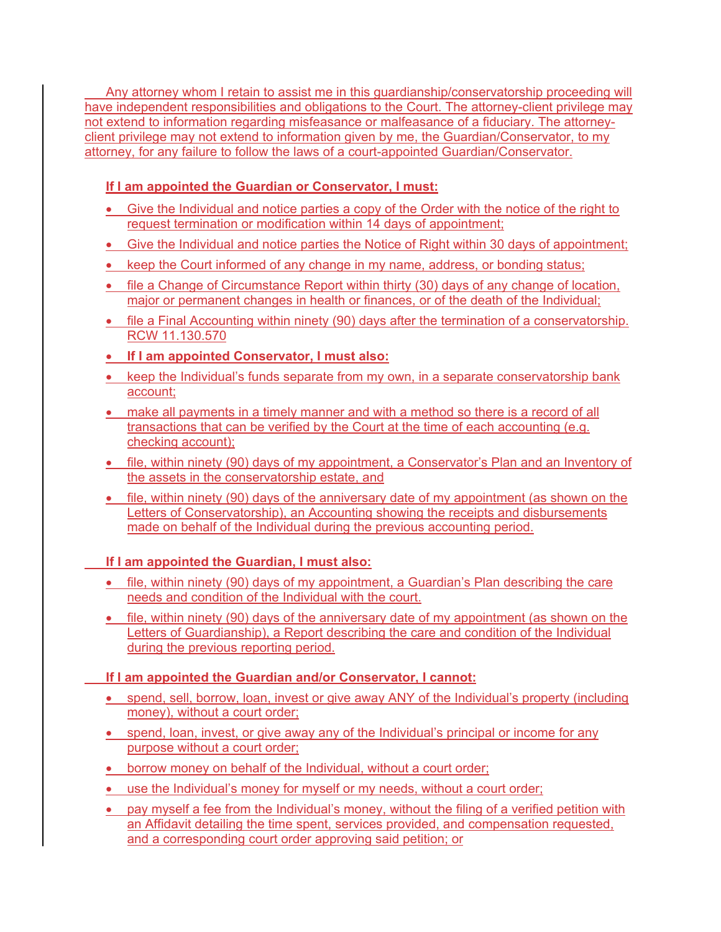Any attorney whom I retain to assist me in this guardianship/conservatorship proceeding will have independent responsibilities and obligations to the Court. The attorney-client privilege may not extend to information regarding misfeasance or malfeasance of a fiduciary. The attorneyclient privilege may not extend to information given by me, the Guardian/Conservator, to my attorney, for any failure to follow the laws of a court-appointed Guardian/Conservator.

### **If I am appointed the Guardian or Conservator, I must:**

- Give the Individual and notice parties a copy of the Order with the notice of the right to request termination or modification within 14 days of appointment;
- Give the Individual and notice parties the Notice of Right within 30 days of appointment;
- keep the Court informed of any change in my name, address, or bonding status;
- file a Change of Circumstance Report within thirty (30) days of any change of location, major or permanent changes in health or finances, or of the death of the Individual;
- **•** file a Final Accounting within ninety (90) days after the termination of a conservatorship. RCW 11.130.570
- **If I am appointed Conservator, I must also:**
- keep the Individual's funds separate from my own, in a separate conservatorship bank account;
- make all payments in a timely manner and with a method so there is a record of all transactions that can be verified by the Court at the time of each accounting (e.g. checking account);
- file, within ninety (90) days of my appointment, a Conservator's Plan and an Inventory of the assets in the conservatorship estate, and
- file, within ninety (90) days of the anniversary date of my appointment (as shown on the Letters of Conservatorship), an Accounting showing the receipts and disbursements made on behalf of the Individual during the previous accounting period.

#### **If I am appointed the Guardian, I must also:**

- file, within ninety (90) days of my appointment, a Guardian's Plan describing the care needs and condition of the Individual with the court.
- file, within ninety (90) days of the anniversary date of my appointment (as shown on the Letters of Guardianship), a Report describing the care and condition of the Individual during the previous reporting period.

## **If I am appointed the Guardian and/or Conservator, I cannot:**

- spend, sell, borrow, loan, invest or give away ANY of the Individual's property (including money), without a court order;
- spend, loan, invest, or give away any of the Individual's principal or income for any purpose without a court order;
- borrow money on behalf of the Individual, without a court order;
- use the Individual's money for myself or my needs, without a court order;
- pay myself a fee from the Individual's money, without the filing of a verified petition with an Affidavit detailing the time spent, services provided, and compensation requested, and a corresponding court order approving said petition; or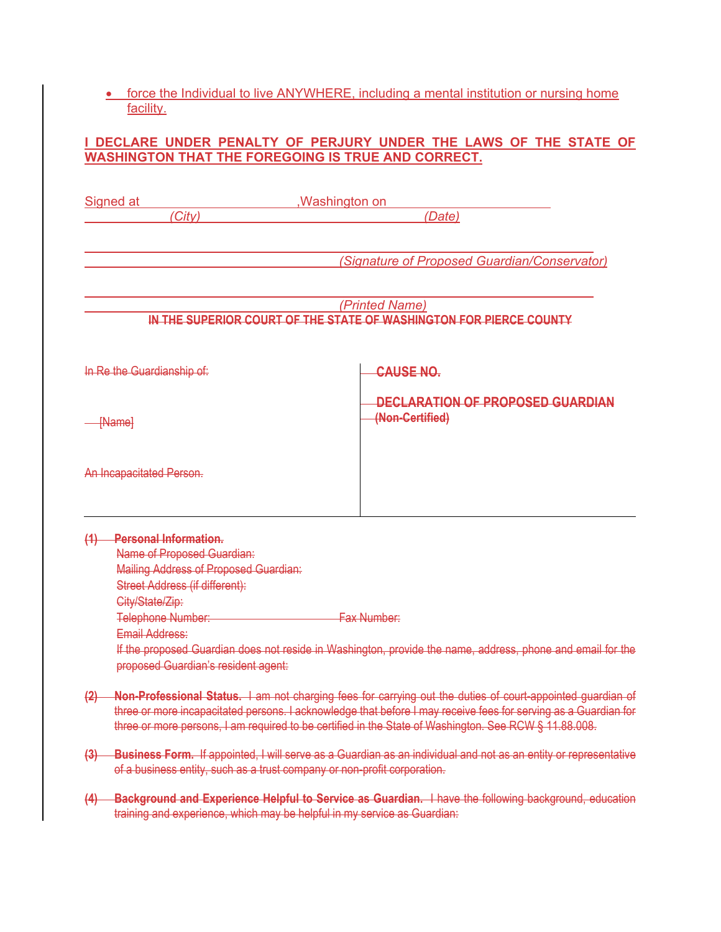• force the Individual to live ANYWHERE, including a mental institution or nursing home facility.

#### **I DECLARE UNDER PENALTY OF PERJURY UNDER THE LAWS OF THE STATE OF WASHINGTON THAT THE FOREGOING IS TRUE AND CORRECT.**

| Signed at                                    | Washington on                                                                                                   |
|----------------------------------------------|-----------------------------------------------------------------------------------------------------------------|
| (City)                                       | (Date)                                                                                                          |
|                                              |                                                                                                                 |
|                                              | (Signature of Proposed Guardian/Conservator)                                                                    |
|                                              |                                                                                                                 |
|                                              | (Printed Name)                                                                                                  |
|                                              | IN THE SUPERIOR COURT OF THE STATE OF WASHINGTON FOR PIERCE COUNTY                                              |
|                                              |                                                                                                                 |
|                                              |                                                                                                                 |
| In Re the Guardianship of:                   | <b>CAUSE NO.</b>                                                                                                |
|                                              | <b>DECLARATION OF PROPOSED GUARDIAN</b>                                                                         |
| [Name]                                       | (Non-Certified)                                                                                                 |
|                                              |                                                                                                                 |
|                                              |                                                                                                                 |
| An Incapacitated Person.                     |                                                                                                                 |
|                                              |                                                                                                                 |
|                                              |                                                                                                                 |
| <b>Personal Information.</b><br>(4)          |                                                                                                                 |
| Name of Proposed Guardian:                   |                                                                                                                 |
| <b>Mailing Address of Proposed Guardian:</b> |                                                                                                                 |
| Street Address (if different):               |                                                                                                                 |
| City/State/Zip:                              |                                                                                                                 |
| <b>Telephone Number:</b><br>Email Address:   | <b>Fax Number:</b>                                                                                              |
|                                              | If the proposed Guardian does not reside in Washington, provide the name, address, phone and email for the      |
| proposed Guardian's resident agent:          |                                                                                                                 |
|                                              |                                                                                                                 |
|                                              | Non-Professional Status. I am not charging fees for carrying out the duties of court-appointed guardian of      |
|                                              | three or more incapacitated persons. I acknowledge that before I may receive fees for serving as a Guardian for |
|                                              | three or more persons, I am required to be certified in the State of Washington. See RCW § 11.88.008.           |
| (3)                                          | Business Form. If appointed, I will serve as a Guardian as an individual and not as an entity or representative |
|                                              | of a business entity, such as a trust company or non-profit corporation.                                        |
|                                              | (4) Background and Experience Helpful to Service as Guardian. I have the following background, education        |
|                                              | training and experience, which may be helpful in my service as Guardian:                                        |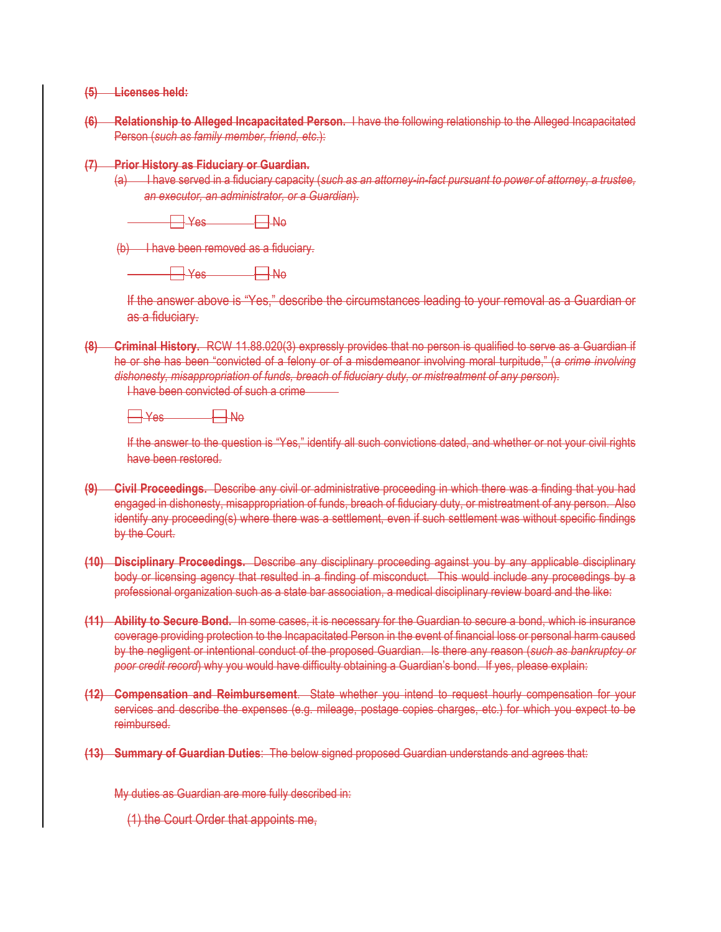| (5) | <b>Licancas hald:</b>   |  |
|-----|-------------------------|--|
|     | <b>LIVVIIVVU IIVIVI</b> |  |

- **(6) Relationship to Alleged Incapacitated Person.** I have the following relationship to the Alleged Incapacitated Person (*such as family member, friend, etc*.):
- **(7) Prior History as Fiduciary or Guardian.**
	- (a) I have served in a fiduciary capacity (*such as an attorney-in-fact pursuant to power of attorney, a trustee, an executor, an administrator, or a Guardian*).

| ءَ                       |    |
|--------------------------|----|
| $\overline{\phantom{a}}$ | ₩θ |

(b) I have been removed as a fiduciary.

| $\sim$ | NΑ |
|--------|----|
| ᠳ      |    |

If the answer above is "Yes," describe the circumstances leading to your removal as a Guardian or as a fiduciary.

**(8) Criminal History.** RCW 11.88.020(3) expressly provides that no person is qualified to serve as a Guardian if he or she has been "convicted of a felony or of a misdemeanor involving moral turpitude," (*a crime involving dishonesty, misappropriation of funds, breach of fiduciary duty, or mistreatment of any person*). **I have been convicted of such a crime** 

 $\Box$  Yes  $\Box$  No

If the answer to the question is "Yes," identify all such convictions dated, and whether or not your civil rights have been restored.

- **(9) Civil Proceedings.** Describe any civil or administrative proceeding in which there was a finding that you had engaged in dishonesty, misappropriation of funds, breach of fiduciary duty, or mistreatment of any person. Also identify any proceeding(s) where there was a settlement, even if such settlement was without specific findings by the Court.
- **(10) Disciplinary Proceedings.** Describe any disciplinary proceeding against you by any applicable disciplinary body or licensing agency that resulted in a finding of misconduct. This would include any proceedings by a professional organization such as a state bar association, a medical disciplinary review board and the like:
- **(11) Ability to Secure Bond.** In some cases, it is necessary for the Guardian to secure a bond, which is insurance coverage providing protection to the Incapacitated Person in the event of financial loss or personal harm caused by the negligent or intentional conduct of the proposed Guardian. Is there any reason (*such as bankruptcy or poor credit record*) why you would have difficulty obtaining a Guardian's bond. If yes, please explain:
- **(12) Compensation and Reimbursement**. State whether you intend to request hourly compensation for your services and describe the expenses (e.g. mileage, postage copies charges, etc.) for which you expect to be reimbursed.
- **(13) Summary of Guardian Duties**: The below signed proposed Guardian understands and agrees that:

My duties as Guardian are more fully described in:

(1) the Court Order that appoints me,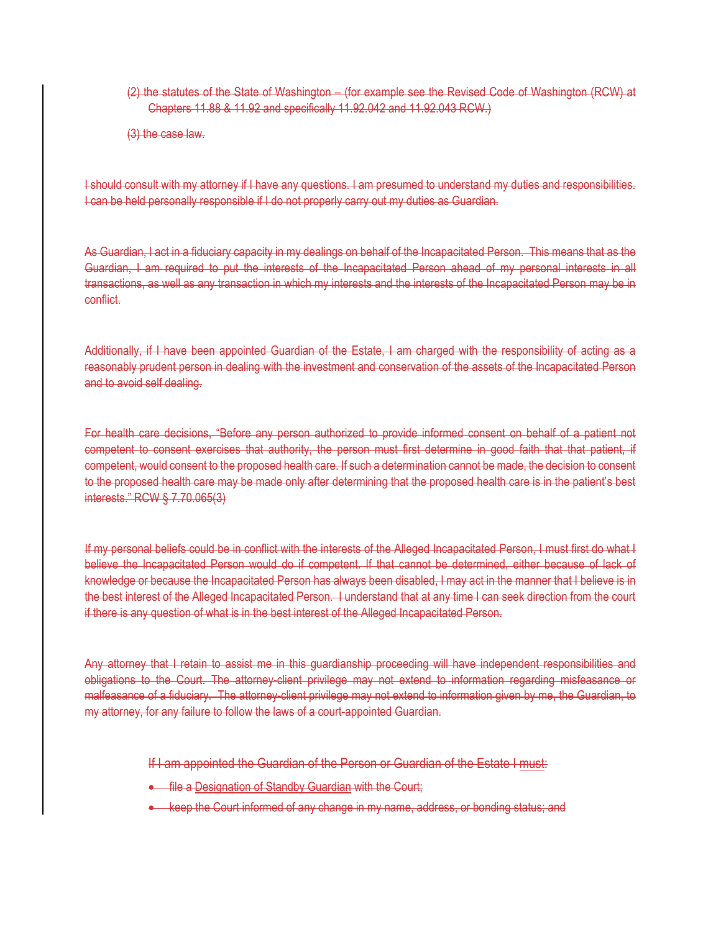(2) the statutes of the State of Washington – (for example see the Revised Code of Washington (RCW) at Chapters 11.88 & 11.92 and specifically 11.92.042 and 11.92.043 RCW.)

(3) the case law.

I should consult with my attorney if I have any questions. I am presumed to understand my duties and responsibilities. I can be held personally responsible if I do not properly carry out my duties as Guardian.

As Guardian, I act in a fiduciary capacity in my dealings on behalf of the Incapacitated Person. This means that as the Guardian, I am required to put the interests of the Incapacitated Person ahead of my personal interests in all transactions, as well as any transaction in which my interests and the interests of the Incapacitated Person may be in conflict.

Additionally, if I have been appointed Guardian of the Estate, I am charged with the responsibility of acting as a reasonably prudent person in dealing with the investment and conservation of the assets of the Incapacitated Person and to avoid self dealing.

For health care decisions, "Before any person authorized to provide informed consent on behalf of a patient not competent to consent exercises that authority, the person must first determine in good faith that that patient, if competent, would consent to the proposed health care. If such a determination cannot be made, the decision to consent to the proposed health care may be made only after determining that the proposed health care is in the patient's best interests." RCW § 7.70.065(3)

If my personal beliefs could be in conflict with the interests of the Alleged Incapacitated Person, I must first do what I believe the Incapacitated Person would do if competent. If that cannot be determined, either because of lack of knowledge or because the Incapacitated Person has always been disabled, I may act in the manner that I believe is in the best interest of the Alleged Incapacitated Person. I understand that at any time I can seek direction from the court if there is any question of what is in the best interest of the Alleged Incapacitated Person.

Any attorney that I retain to assist me in this guardianship proceeding will have independent responsibilities and obligations to the Court. The attorney-client privilege may not extend to information regarding misfeasance or malfeasance of a fiduciary. The attorney-client privilege may not extend to information given by me, the Guardian, to my attorney, for any failure to follow the laws of a court-appointed Guardian.

If I am appointed the Guardian of the Person or Guardian of the Estate I must:

- **file a Designation of Standby Guardian with the Court:**
- **EXECO** the Court informed of any change in my name, address, or bonding status; and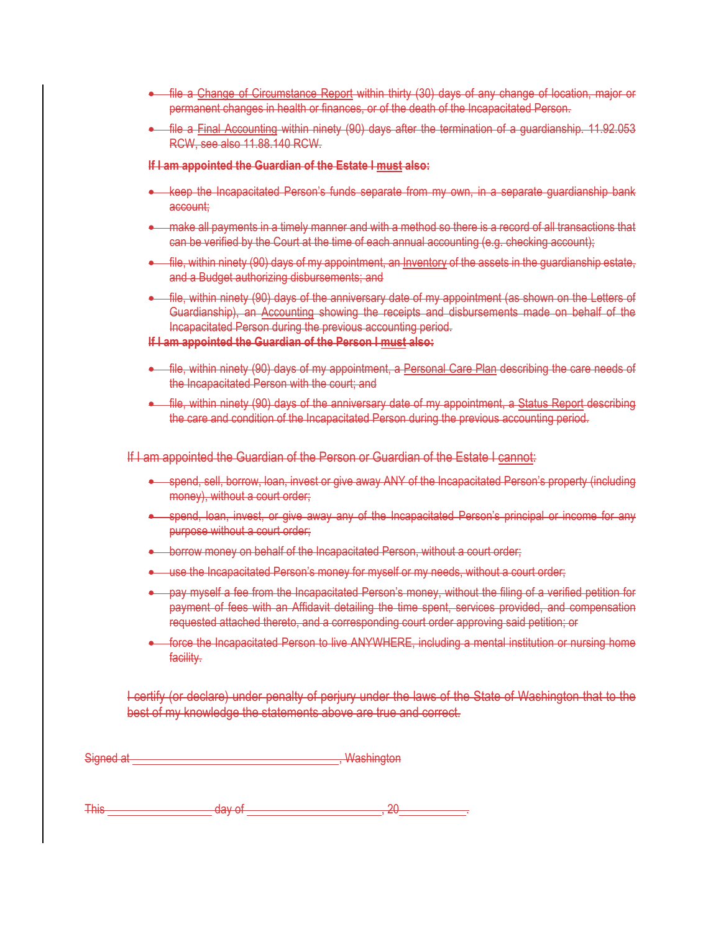| • file a Change of Circumstance Report within thirty (30) days of any change of location, major or |
|----------------------------------------------------------------------------------------------------|
|                                                                                                    |
| permanent changes in health or finances, or of the death of the Incapacitated Person.              |

• file a Final Accounting within ninety (90) days after the termination of a guardianship. 11.92.053 RCW, see also 11.88.140 RCW.

**If I am appointed the Guardian of the Estate I must also:** 

- keep the Incapacitated Person's funds separate from my own, in a separate guardianship bank account;
- **•** make all payments in a timely manner and with a method so there is a record of all transactions that can be verified by the Court at the time of each annual accounting (e.g. checking account);
- file, within ninety (90) days of my appointment, an Inventory of the assets in the guardianship estate, and a Budget authorizing disbursements; and
- file, within ninety (90) days of the anniversary date of my appointment (as shown on the Letters of Guardianship), an Accounting showing the receipts and disbursements made on behalf of the Incapacitated Person during the previous accounting period.
- **If I am appointed the Guardian of the Person I must also:**
- file, within ninety (90) days of my appointment, a Personal Care Plan describing the care needs of the Incapacitated Person with the court; and
- file, within ninety (90) days of the anniversary date of my appointment, a Status Report describing the care and condition of the Incapacitated Person during the previous accounting period.

If I am appointed the Guardian of the Person or Guardian of the Estate I cannot:

- spend, sell, borrow, loan, invest or give away ANY of the Incapacitated Person's property (including money), without a court order;
- **•** spend, loan, invest, or give away any of the Incapacitated Person's principal or income for any purpose without a court order;
- **.** borrow money on behalf of the Incapacitated Person, without a court order;
- use the Incapacitated Person's money for myself or my needs, without a court order;
- pay myself a fee from the Incapacitated Person's money, without the filing of a verified petition for payment of fees with an Affidavit detailing the time spent, services provided, and compensation requested attached thereto, and a corresponding court order approving said petition; or
- force the Incapacitated Person to live ANYWHERE, including a mental institution or nursing home facility.

I certify (or declare) under penalty of perjury under the laws of the State of Washington that to the best of my knowledge the statements above are true and correct.

| Sinnad at                                    | <i><u>Machinaton</u></i>                                                                                               |
|----------------------------------------------|------------------------------------------------------------------------------------------------------------------------|
| $\overline{\text{}}$ of $\overline{\text{}}$ | <u>TUCHING THE BELL OF THE TIME OF THE TIME OF THE TIME OF THE TIME OF THE TIME OF THE TIME OF THE TIME OF THE TIM</u> |

| . | _____<br>. |  |
|---|------------|--|